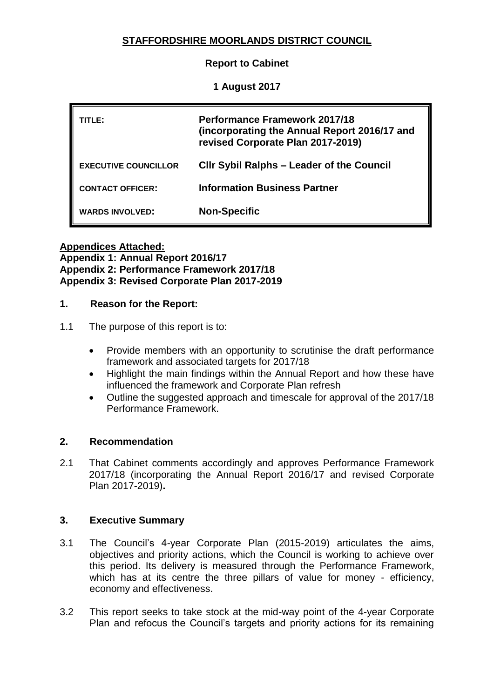# **STAFFORDSHIRE MOORLANDS DISTRICT COUNCIL**

**Report to Cabinet**

**1 August 2017**

| TLE:                        | <b>Performance Framework 2017/18</b><br>(incorporating the Annual Report 2016/17 and<br>revised Corporate Plan 2017-2019) |
|-----------------------------|---------------------------------------------------------------------------------------------------------------------------|
| <b>EXECUTIVE COUNCILLOR</b> | <b>CIIr Sybil Ralphs - Leader of the Council</b>                                                                          |
| <b>CONTACT OFFICER:</b>     | <b>Information Business Partner</b>                                                                                       |
| <b>WARDS INVOLVED:</b>      | <b>Non-Specific</b>                                                                                                       |

**Appendices Attached: Appendix 1: Annual Report 2016/17 Appendix 2: Performance Framework 2017/18 Appendix 3: Revised Corporate Plan 2017-2019**

## **1. Reason for the Report:**

## 1.1 The purpose of this report is to:

- Provide members with an opportunity to scrutinise the draft performance framework and associated targets for 2017/18
- Highlight the main findings within the Annual Report and how these have influenced the framework and Corporate Plan refresh
- Outline the suggested approach and timescale for approval of the 2017/18 Performance Framework.

## **2. Recommendation**

2.1 That Cabinet comments accordingly and approves Performance Framework 2017/18 (incorporating the Annual Report 2016/17 and revised Corporate Plan 2017-2019)**.**

## **3. Executive Summary**

- 3.1 The Council's 4-year Corporate Plan (2015-2019) articulates the aims, objectives and priority actions, which the Council is working to achieve over this period. Its delivery is measured through the Performance Framework, which has at its centre the three pillars of value for money - efficiency, economy and effectiveness.
- 3.2 This report seeks to take stock at the mid-way point of the 4-year Corporate Plan and refocus the Council's targets and priority actions for its remaining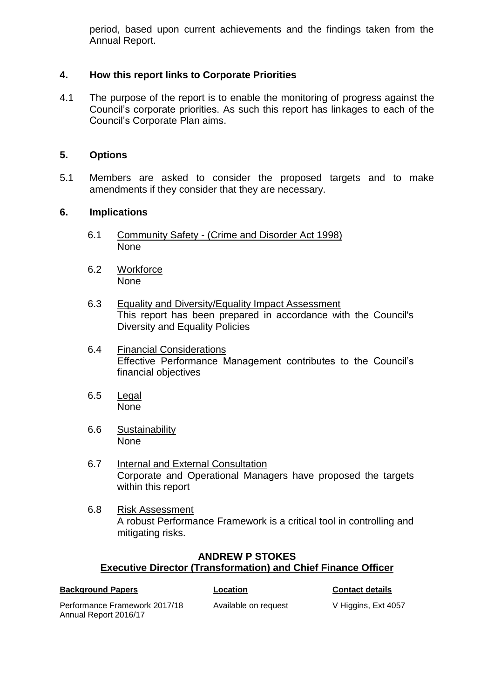period, based upon current achievements and the findings taken from the Annual Report.

## **4. How this report links to Corporate Priorities**

4.1 The purpose of the report is to enable the monitoring of progress against the Council's corporate priorities. As such this report has linkages to each of the Council's Corporate Plan aims.

## **5. Options**

5.1 Members are asked to consider the proposed targets and to make amendments if they consider that they are necessary.

#### **6. Implications**

- 6.1 Community Safety (Crime and Disorder Act 1998) None
- 6.2 Workforce None
- 6.3 Equality and Diversity/Equality Impact Assessment This report has been prepared in accordance with the Council's Diversity and Equality Policies
- 6.4 Financial Considerations Effective Performance Management contributes to the Council's financial objectives
- 6.5 Legal None
- 6.6 Sustainability None
- 6.7 Internal and External Consultation Corporate and Operational Managers have proposed the targets within this report
- 6.8 Risk Assessment A robust Performance Framework is a critical tool in controlling and mitigating risks.

## **ANDREW P STOKES Executive Director (Transformation) and Chief Finance Officer**

| <b>Background Papers</b>      | Location             | <b>Contact details</b> |
|-------------------------------|----------------------|------------------------|
| Performance Framework 2017/18 | Available on request | V Higgins, Ext 4057    |
| Annual Report 2016/17         |                      |                        |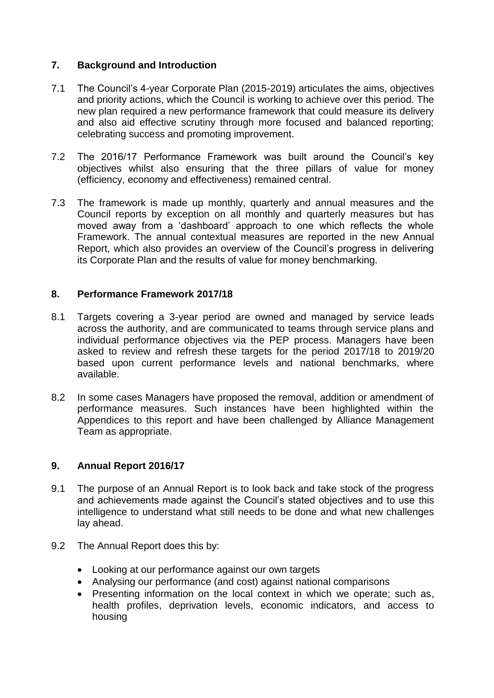# **7. Background and Introduction**

- 7.1 The Council's 4-year Corporate Plan (2015-2019) articulates the aims, objectives and priority actions, which the Council is working to achieve over this period. The new plan required a new performance framework that could measure its delivery and also aid effective scrutiny through more focused and balanced reporting; celebrating success and promoting improvement.
- 7.2 The 2016/17 Performance Framework was built around the Council's key objectives whilst also ensuring that the three pillars of value for money (efficiency, economy and effectiveness) remained central.
- 7.3 The framework is made up monthly, quarterly and annual measures and the Council reports by exception on all monthly and quarterly measures but has moved away from a 'dashboard' approach to one which reflects the whole Framework. The annual contextual measures are reported in the new Annual Report, which also provides an overview of the Council's progress in delivering its Corporate Plan and the results of value for money benchmarking.

## **8. Performance Framework 2017/18**

- 8.1 Targets covering a 3-year period are owned and managed by service leads across the authority, and are communicated to teams through service plans and individual performance objectives via the PEP process. Managers have been asked to review and refresh these targets for the period 2017/18 to 2019/20 based upon current performance levels and national benchmarks, where available.
- 8.2 In some cases Managers have proposed the removal, addition or amendment of performance measures. Such instances have been highlighted within the Appendices to this report and have been challenged by Alliance Management Team as appropriate.

## **9. Annual Report 2016/17**

- 9.1 The purpose of an Annual Report is to look back and take stock of the progress and achievements made against the Council's stated objectives and to use this intelligence to understand what still needs to be done and what new challenges lay ahead.
- 9.2 The Annual Report does this by:
	- Looking at our performance against our own targets
	- Analysing our performance (and cost) against national comparisons
	- Presenting information on the local context in which we operate; such as, health profiles, deprivation levels, economic indicators, and access to housing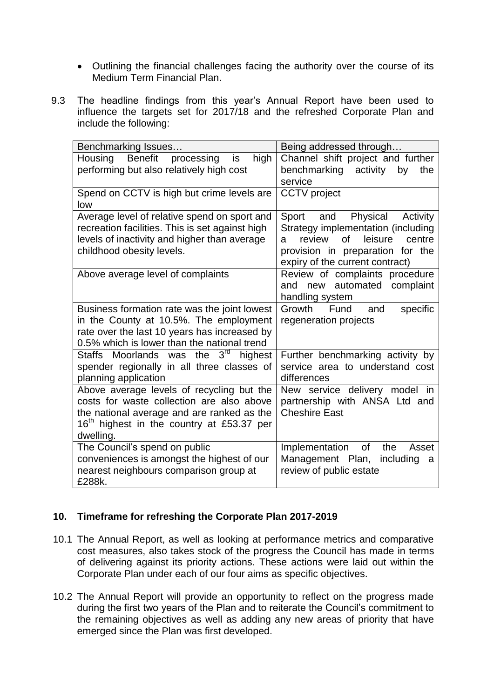- Outlining the financial challenges facing the authority over the course of its Medium Term Financial Plan.
- 9.3 The headline findings from this year's Annual Report have been used to influence the targets set for 2017/18 and the refreshed Corporate Plan and include the following:

| Benchmarking Issues                                   | Being addressed through                |  |
|-------------------------------------------------------|----------------------------------------|--|
| <b>Benefit</b><br>processing<br>Housing<br>is<br>high | Channel shift project and further      |  |
| performing but also relatively high cost              | benchmarking activity<br>by<br>the     |  |
|                                                       | service                                |  |
| Spend on CCTV is high but crime levels are<br>low     | <b>CCTV</b> project                    |  |
| Average level of relative spend on sport and          | Sport and Physical<br>Activity         |  |
| recreation facilities. This is set against high       | Strategy implementation (including     |  |
| levels of inactivity and higher than average          | of<br>leisure<br>review<br>centre<br>a |  |
| childhood obesity levels.                             | provision in preparation for the       |  |
|                                                       | expiry of the current contract)        |  |
| Above average level of complaints                     | Review of complaints procedure         |  |
|                                                       | new automated complaint<br>and         |  |
|                                                       | handling system                        |  |
| Business formation rate was the joint lowest          | specific<br>Growth Fund<br>and         |  |
| in the County at 10.5%. The employment                | regeneration projects                  |  |
| rate over the last 10 years has increased by          |                                        |  |
| 0.5% which is lower than the national trend           |                                        |  |
| Staffs Moorlands was the 3 <sup>rd</sup> highest      | Further benchmarking activity by       |  |
| spender regionally in all three classes of            | service area to understand cost        |  |
| planning application                                  | differences                            |  |
| Above average levels of recycling but the             | New service delivery model in          |  |
| costs for waste collection are also above             | partnership with ANSA Ltd and          |  |
| the national average and are ranked as the            | <b>Cheshire East</b>                   |  |
| $16th$ highest in the country at £53.37 per           |                                        |  |
| dwelling.                                             |                                        |  |
| The Council's spend on public                         | Implementation of<br>the<br>Asset      |  |
| conveniences is amongst the highest of our            | Management Plan,<br>including<br>a     |  |
| nearest neighbours comparison group at                | review of public estate                |  |
| £288k.                                                |                                        |  |

# **10. Timeframe for refreshing the Corporate Plan 2017-2019**

- 10.1 The Annual Report, as well as looking at performance metrics and comparative cost measures, also takes stock of the progress the Council has made in terms of delivering against its priority actions. These actions were laid out within the Corporate Plan under each of our four aims as specific objectives.
- 10.2 The Annual Report will provide an opportunity to reflect on the progress made during the first two years of the Plan and to reiterate the Council's commitment to the remaining objectives as well as adding any new areas of priority that have emerged since the Plan was first developed.